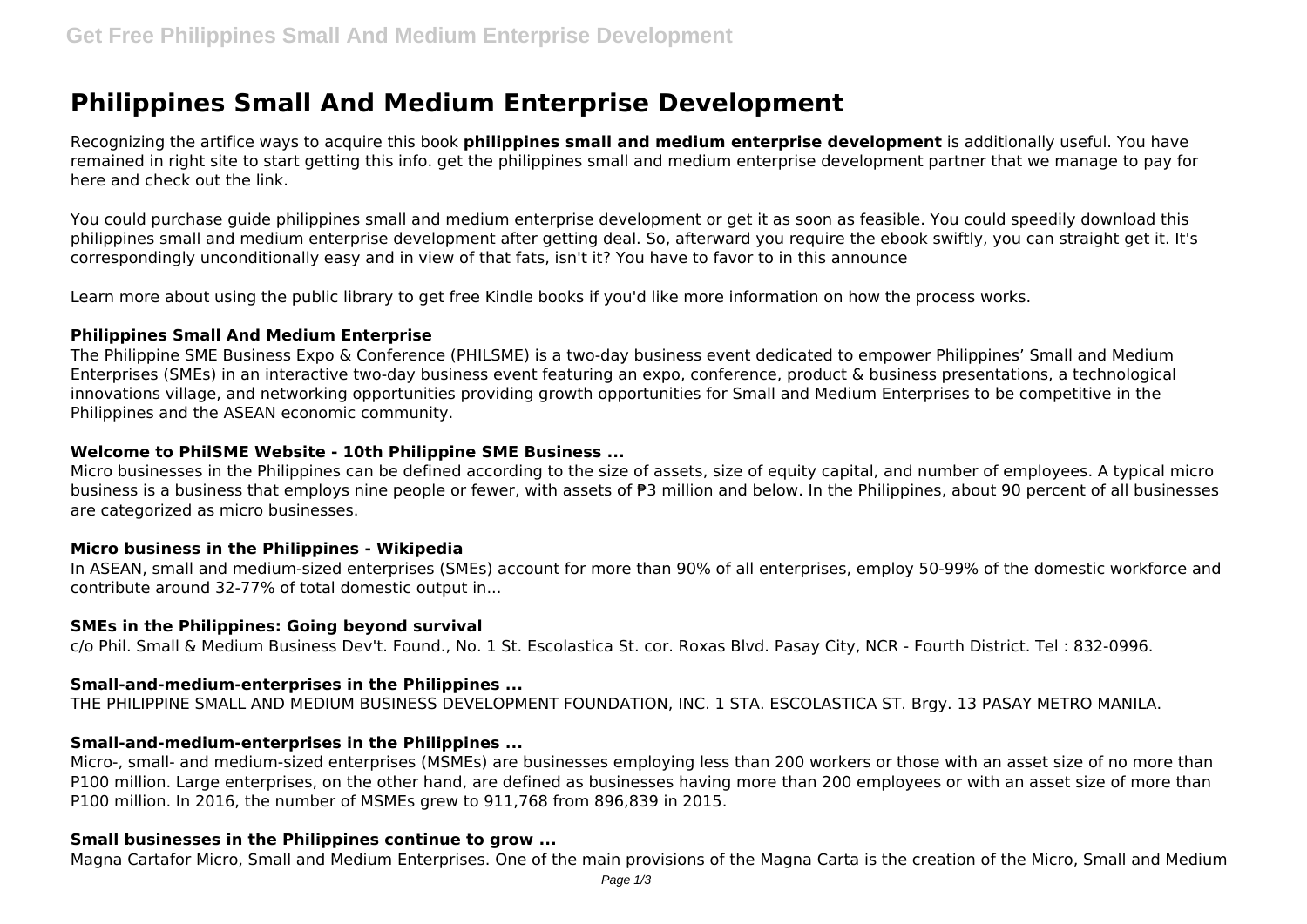# **Philippines Small And Medium Enterprise Development**

Recognizing the artifice ways to acquire this book **philippines small and medium enterprise development** is additionally useful. You have remained in right site to start getting this info. get the philippines small and medium enterprise development partner that we manage to pay for here and check out the link.

You could purchase guide philippines small and medium enterprise development or get it as soon as feasible. You could speedily download this philippines small and medium enterprise development after getting deal. So, afterward you require the ebook swiftly, you can straight get it. It's correspondingly unconditionally easy and in view of that fats, isn't it? You have to favor to in this announce

Learn more about using the public library to get free Kindle books if you'd like more information on how the process works.

#### **Philippines Small And Medium Enterprise**

The Philippine SME Business Expo & Conference (PHILSME) is a two-day business event dedicated to empower Philippines' Small and Medium Enterprises (SMEs) in an interactive two-day business event featuring an expo, conference, product & business presentations, a technological innovations village, and networking opportunities providing growth opportunities for Small and Medium Enterprises to be competitive in the Philippines and the ASEAN economic community.

## **Welcome to PhilSME Website - 10th Philippine SME Business ...**

Micro businesses in the Philippines can be defined according to the size of assets, size of equity capital, and number of employees. A typical micro business is a business that employs nine people or fewer, with assets of ₱3 million and below. In the Philippines, about 90 percent of all businesses are categorized as micro businesses.

## **Micro business in the Philippines - Wikipedia**

In ASEAN, small and medium-sized enterprises (SMEs) account for more than 90% of all enterprises, employ 50-99% of the domestic workforce and contribute around 32-77% of total domestic output in...

#### **SMEs in the Philippines: Going beyond survival**

c/o Phil. Small & Medium Business Dev't. Found., No. 1 St. Escolastica St. cor. Roxas Blvd. Pasay City, NCR - Fourth District. Tel : 832-0996.

## **Small-and-medium-enterprises in the Philippines ...**

THE PHILIPPINE SMALL AND MEDIUM BUSINESS DEVELOPMENT FOUNDATION, INC. 1 STA. ESCOLASTICA ST. Brgy. 13 PASAY METRO MANILA.

## **Small-and-medium-enterprises in the Philippines ...**

Micro-, small- and medium-sized enterprises (MSMEs) are businesses employing less than 200 workers or those with an asset size of no more than P100 million. Large enterprises, on the other hand, are defined as businesses having more than 200 employees or with an asset size of more than P100 million. In 2016, the number of MSMEs grew to 911,768 from 896,839 in 2015.

## **Small businesses in the Philippines continue to grow ...**

Magna Cartafor Micro, Small and Medium Enterprises. One of the main provisions of the Magna Carta is the creation of the Micro, Small and Medium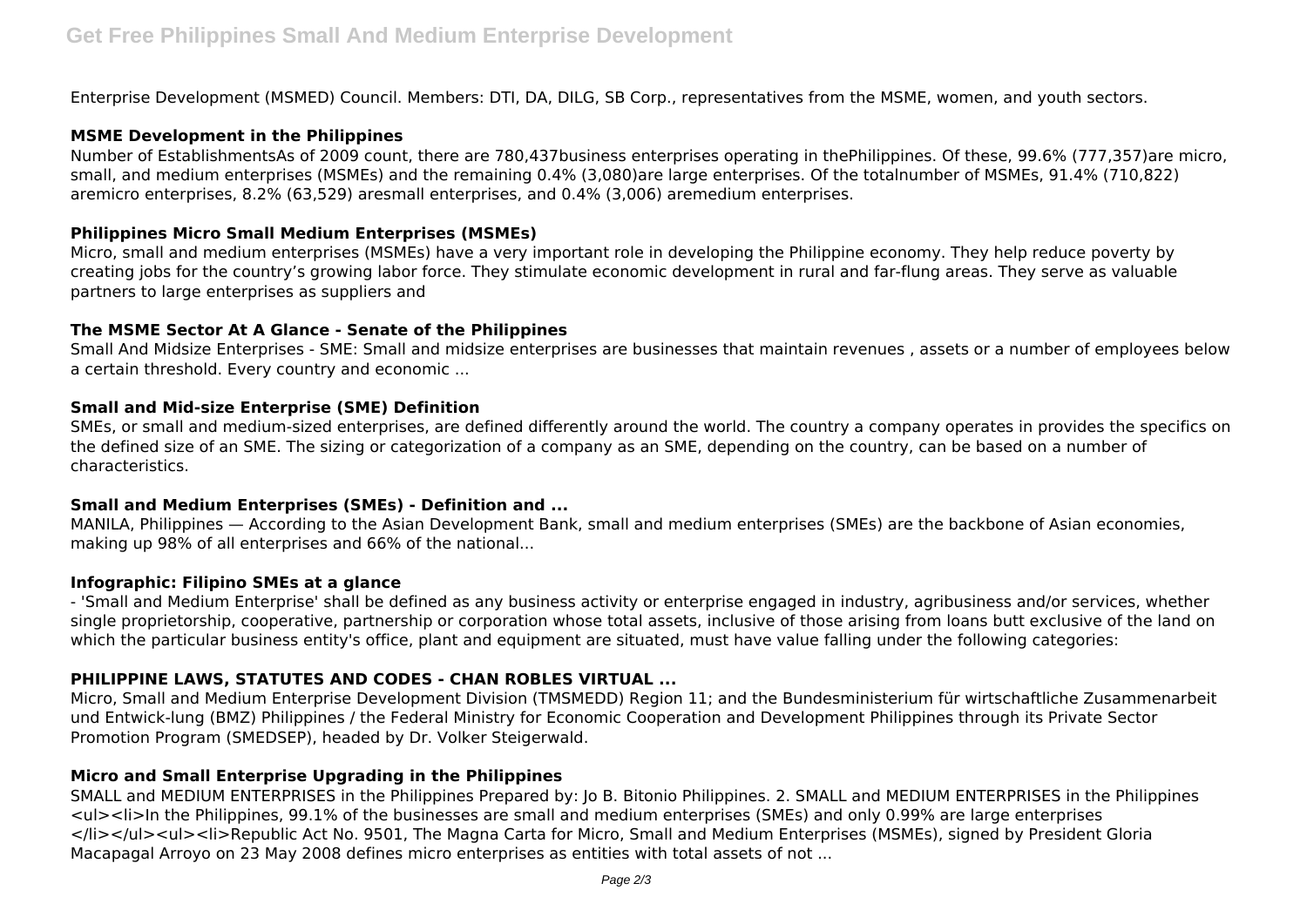Enterprise Development (MSMED) Council. Members: DTI, DA, DILG, SB Corp., representatives from the MSME, women, and youth sectors.

#### **MSME Development in the Philippines**

Number of EstablishmentsAs of 2009 count, there are 780,437business enterprises operating in thePhilippines. Of these, 99.6% (777,357)are micro, small, and medium enterprises (MSMEs) and the remaining 0.4% (3,080)are large enterprises. Of the totalnumber of MSMEs, 91.4% (710,822) aremicro enterprises, 8.2% (63,529) aresmall enterprises, and 0.4% (3,006) aremedium enterprises.

#### **Philippines Micro Small Medium Enterprises (MSMEs)**

Micro, small and medium enterprises (MSMEs) have a very important role in developing the Philippine economy. They help reduce poverty by creating jobs for the country's growing labor force. They stimulate economic development in rural and far-flung areas. They serve as valuable partners to large enterprises as suppliers and

#### **The MSME Sector At A Glance - Senate of the Philippines**

Small And Midsize Enterprises - SME: Small and midsize enterprises are businesses that maintain revenues , assets or a number of employees below a certain threshold. Every country and economic ...

#### **Small and Mid-size Enterprise (SME) Definition**

SMEs, or small and medium-sized enterprises, are defined differently around the world. The country a company operates in provides the specifics on the defined size of an SME. The sizing or categorization of a company as an SME, depending on the country, can be based on a number of characteristics.

## **Small and Medium Enterprises (SMEs) - Definition and ...**

MANILA, Philippines — According to the Asian Development Bank, small and medium enterprises (SMEs) are the backbone of Asian economies, making up 98% of all enterprises and 66% of the national...

## **Infographic: Filipino SMEs at a glance**

- 'Small and Medium Enterprise' shall be defined as any business activity or enterprise engaged in industry, agribusiness and/or services, whether single proprietorship, cooperative, partnership or corporation whose total assets, inclusive of those arising from loans butt exclusive of the land on which the particular business entity's office, plant and equipment are situated, must have value falling under the following categories:

# **PHILIPPINE LAWS, STATUTES AND CODES - CHAN ROBLES VIRTUAL ...**

Micro, Small and Medium Enterprise Development Division (TMSMEDD) Region 11; and the Bundesministerium für wirtschaftliche Zusammenarbeit und Entwick-lung (BMZ) Philippines / the Federal Ministry for Economic Cooperation and Development Philippines through its Private Sector Promotion Program (SMEDSEP), headed by Dr. Volker Steigerwald.

## **Micro and Small Enterprise Upgrading in the Philippines**

SMALL and MEDIUM ENTERPRISES in the Philippines Prepared by: Jo B. Bitonio Philippines. 2. SMALL and MEDIUM ENTERPRISES in the Philippines <ul><li>In the Philippines, 99.1% of the businesses are small and medium enterprises (SMEs) and only 0.99% are large enterprises </li></ul><ul><li>Republic Act No. 9501, The Magna Carta for Micro, Small and Medium Enterprises (MSMEs), signed by President Gloria Macapagal Arroyo on 23 May 2008 defines micro enterprises as entities with total assets of not ...